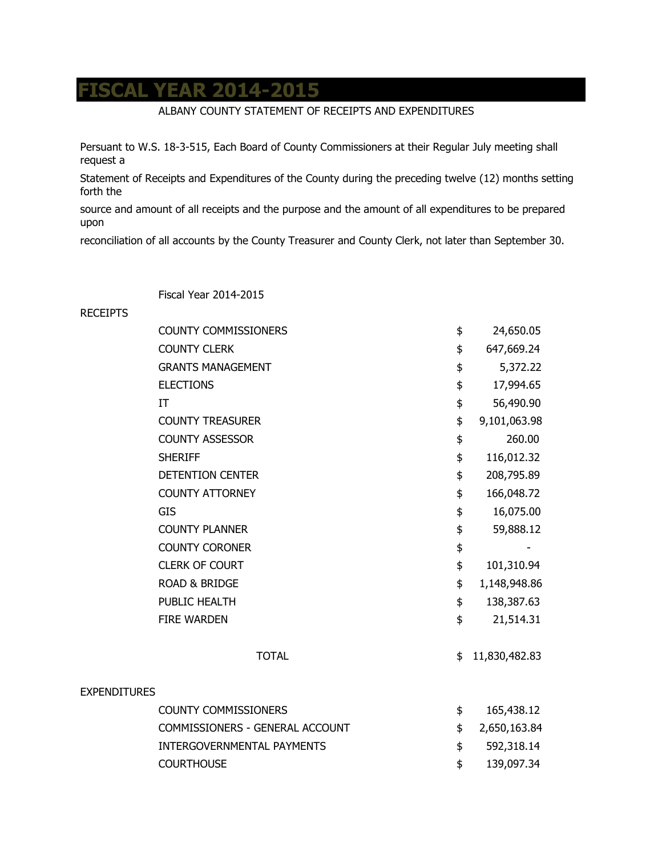## **FISCAL YEAR 2014-2015**

## ALBANY COUNTY STATEMENT OF RECEIPTS AND EXPENDITURES

Persuant to W.S. 18-3-515, Each Board of County Commissioners at their Regular July meeting shall request a

Statement of Receipts and Expenditures of the County during the preceding twelve (12) months setting forth the

source and amount of all receipts and the purpose and the amount of all expenditures to be prepared upon

reconciliation of all accounts by the County Treasurer and County Clerk, not later than September 30.

Fiscal Year 2014-2015

## RECEIPTS

|                     | <b>COUNTY COMMISSIONERS</b>       | \$<br>24,650.05     |
|---------------------|-----------------------------------|---------------------|
|                     | <b>COUNTY CLERK</b>               | \$<br>647,669.24    |
|                     | <b>GRANTS MANAGEMENT</b>          | \$<br>5,372.22      |
|                     | <b>ELECTIONS</b>                  | \$<br>17,994.65     |
|                     | IT                                | \$<br>56,490.90     |
|                     | <b>COUNTY TREASURER</b>           | \$<br>9,101,063.98  |
|                     | <b>COUNTY ASSESSOR</b>            | \$<br>260.00        |
|                     | <b>SHERIFF</b>                    | \$<br>116,012.32    |
|                     | <b>DETENTION CENTER</b>           | \$<br>208,795.89    |
|                     | <b>COUNTY ATTORNEY</b>            | \$<br>166,048.72    |
|                     | GIS                               | \$<br>16,075.00     |
|                     | <b>COUNTY PLANNER</b>             | \$<br>59,888.12     |
|                     | <b>COUNTY CORONER</b>             | \$                  |
|                     | <b>CLERK OF COURT</b>             | \$<br>101,310.94    |
|                     | <b>ROAD &amp; BRIDGE</b>          | \$<br>1,148,948.86  |
|                     | PUBLIC HEALTH                     | \$<br>138,387.63    |
|                     | <b>FIRE WARDEN</b>                | \$<br>21,514.31     |
|                     | <b>TOTAL</b>                      | \$<br>11,830,482.83 |
| <b>EXPENDITURES</b> |                                   |                     |
|                     | <b>COUNTY COMMISSIONERS</b>       | \$<br>165,438.12    |
|                     | COMMISSIONERS - GENERAL ACCOUNT   | \$<br>2,650,163.84  |
|                     | <b>INTERGOVERNMENTAL PAYMENTS</b> | \$<br>592,318.14    |
|                     | <b>COURTHOUSE</b>                 | \$<br>139,097.34    |